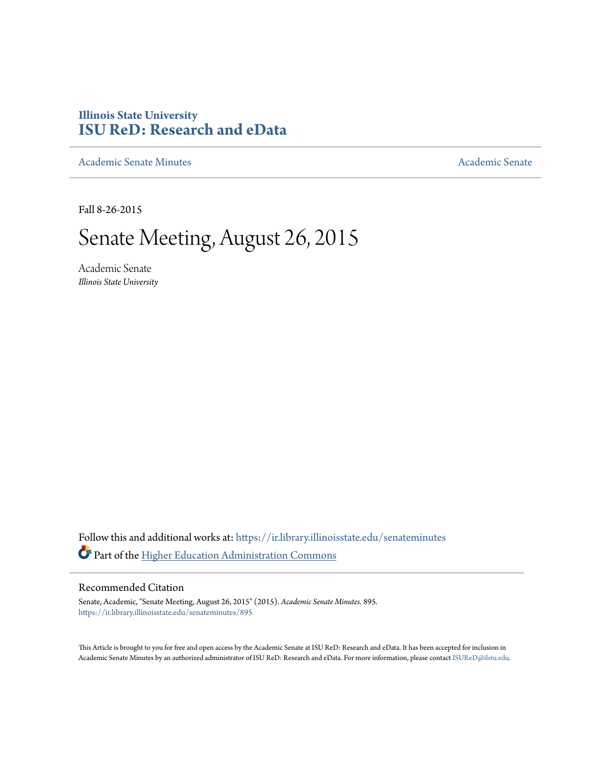# **Illinois State University [ISU ReD: Research and eData](https://ir.library.illinoisstate.edu?utm_source=ir.library.illinoisstate.edu%2Fsenateminutes%2F895&utm_medium=PDF&utm_campaign=PDFCoverPages)**

[Academic Senate Minutes](https://ir.library.illinoisstate.edu/senateminutes?utm_source=ir.library.illinoisstate.edu%2Fsenateminutes%2F895&utm_medium=PDF&utm_campaign=PDFCoverPages) [Academic Senate](https://ir.library.illinoisstate.edu/senate?utm_source=ir.library.illinoisstate.edu%2Fsenateminutes%2F895&utm_medium=PDF&utm_campaign=PDFCoverPages) Academic Senate

Fall 8-26-2015

# Senate Meeting, August 26, 2015

Academic Senate *Illinois State University*

Follow this and additional works at: [https://ir.library.illinoisstate.edu/senateminutes](https://ir.library.illinoisstate.edu/senateminutes?utm_source=ir.library.illinoisstate.edu%2Fsenateminutes%2F895&utm_medium=PDF&utm_campaign=PDFCoverPages) Part of the [Higher Education Administration Commons](http://network.bepress.com/hgg/discipline/791?utm_source=ir.library.illinoisstate.edu%2Fsenateminutes%2F895&utm_medium=PDF&utm_campaign=PDFCoverPages)

#### Recommended Citation

Senate, Academic, "Senate Meeting, August 26, 2015" (2015). *Academic Senate Minutes*. 895. [https://ir.library.illinoisstate.edu/senateminutes/895](https://ir.library.illinoisstate.edu/senateminutes/895?utm_source=ir.library.illinoisstate.edu%2Fsenateminutes%2F895&utm_medium=PDF&utm_campaign=PDFCoverPages)

This Article is brought to you for free and open access by the Academic Senate at ISU ReD: Research and eData. It has been accepted for inclusion in Academic Senate Minutes by an authorized administrator of ISU ReD: Research and eData. For more information, please contact [ISUReD@ilstu.edu.](mailto:ISUReD@ilstu.edu)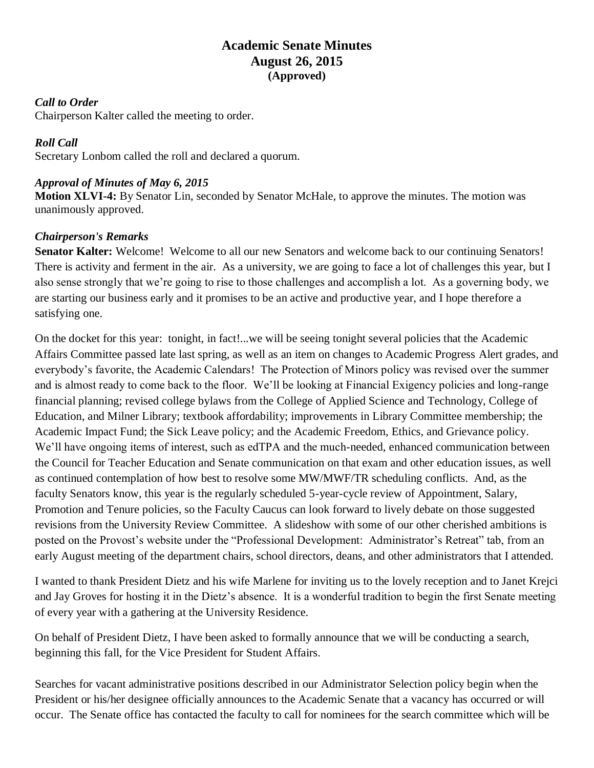## **Academic Senate Minutes August 26, 2015 (Approved)**

#### *Call to Order*

Chairperson Kalter called the meeting to order.

#### *Roll Call*

Secretary Lonbom called the roll and declared a quorum.

#### *Approval of Minutes of May 6, 2015*

**Motion XLVI-4:** By Senator Lin, seconded by Senator McHale, to approve the minutes. The motion was unanimously approved.

#### *Chairperson's Remarks*

**Senator Kalter:** Welcome! Welcome to all our new Senators and welcome back to our continuing Senators! There is activity and ferment in the air. As a university, we are going to face a lot of challenges this year, but I also sense strongly that we're going to rise to those challenges and accomplish a lot. As a governing body, we are starting our business early and it promises to be an active and productive year, and I hope therefore a satisfying one.

On the docket for this year: tonight, in fact!...we will be seeing tonight several policies that the Academic Affairs Committee passed late last spring, as well as an item on changes to Academic Progress Alert grades, and everybody's favorite, the Academic Calendars! The Protection of Minors policy was revised over the summer and is almost ready to come back to the floor. We'll be looking at Financial Exigency policies and long-range financial planning; revised college bylaws from the College of Applied Science and Technology, College of Education, and Milner Library; textbook affordability; improvements in Library Committee membership; the Academic Impact Fund; the Sick Leave policy; and the Academic Freedom, Ethics, and Grievance policy. We'll have ongoing items of interest, such as edTPA and the much-needed, enhanced communication between the Council for Teacher Education and Senate communication on that exam and other education issues, as well as continued contemplation of how best to resolve some MW/MWF/TR scheduling conflicts. And, as the faculty Senators know, this year is the regularly scheduled 5-year-cycle review of Appointment, Salary, Promotion and Tenure policies, so the Faculty Caucus can look forward to lively debate on those suggested revisions from the University Review Committee. A slideshow with some of our other cherished ambitions is posted on the Provost's website under the "Professional Development: Administrator's Retreat" tab, from an early August meeting of the department chairs, school directors, deans, and other administrators that I attended.

I wanted to thank President Dietz and his wife Marlene for inviting us to the lovely reception and to Janet Krejci and Jay Groves for hosting it in the Dietz's absence. It is a wonderful tradition to begin the first Senate meeting of every year with a gathering at the University Residence.

On behalf of President Dietz, I have been asked to formally announce that we will be conducting a search, beginning this fall, for the Vice President for Student Affairs.

Searches for vacant administrative positions described in our Administrator Selection policy begin when the President or his/her designee officially announces to the Academic Senate that a vacancy has occurred or will occur. The Senate office has contacted the faculty to call for nominees for the search committee which will be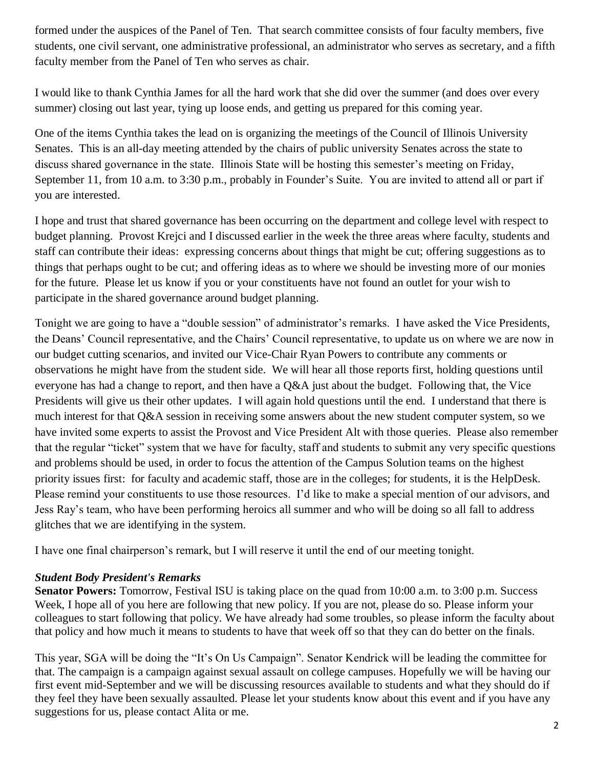formed under the auspices of the Panel of Ten. That search committee consists of four faculty members, five students, one civil servant, one administrative professional, an administrator who serves as secretary, and a fifth faculty member from the Panel of Ten who serves as chair.

I would like to thank Cynthia James for all the hard work that she did over the summer (and does over every summer) closing out last year, tying up loose ends, and getting us prepared for this coming year.

One of the items Cynthia takes the lead on is organizing the meetings of the Council of Illinois University Senates. This is an all-day meeting attended by the chairs of public university Senates across the state to discuss shared governance in the state. Illinois State will be hosting this semester's meeting on Friday, September 11, from 10 a.m. to 3:30 p.m., probably in Founder's Suite. You are invited to attend all or part if you are interested.

I hope and trust that shared governance has been occurring on the department and college level with respect to budget planning. Provost Krejci and I discussed earlier in the week the three areas where faculty, students and staff can contribute their ideas: expressing concerns about things that might be cut; offering suggestions as to things that perhaps ought to be cut; and offering ideas as to where we should be investing more of our monies for the future. Please let us know if you or your constituents have not found an outlet for your wish to participate in the shared governance around budget planning.

Tonight we are going to have a "double session" of administrator's remarks. I have asked the Vice Presidents, the Deans' Council representative, and the Chairs' Council representative, to update us on where we are now in our budget cutting scenarios, and invited our Vice-Chair Ryan Powers to contribute any comments or observations he might have from the student side. We will hear all those reports first, holding questions until everyone has had a change to report, and then have a Q&A just about the budget. Following that, the Vice Presidents will give us their other updates. I will again hold questions until the end. I understand that there is much interest for that Q&A session in receiving some answers about the new student computer system, so we have invited some experts to assist the Provost and Vice President Alt with those queries. Please also remember that the regular "ticket" system that we have for faculty, staff and students to submit any very specific questions and problems should be used, in order to focus the attention of the Campus Solution teams on the highest priority issues first: for faculty and academic staff, those are in the colleges; for students, it is the HelpDesk. Please remind your constituents to use those resources. I'd like to make a special mention of our advisors, and Jess Ray's team, who have been performing heroics all summer and who will be doing so all fall to address glitches that we are identifying in the system.

I have one final chairperson's remark, but I will reserve it until the end of our meeting tonight.

### *Student Body President's Remarks*

**Senator Powers:** Tomorrow, Festival ISU is taking place on the quad from 10:00 a.m. to 3:00 p.m. Success Week, I hope all of you here are following that new policy. If you are not, please do so. Please inform your colleagues to start following that policy. We have already had some troubles, so please inform the faculty about that policy and how much it means to students to have that week off so that they can do better on the finals.

This year, SGA will be doing the "It's On Us Campaign". Senator Kendrick will be leading the committee for that. The campaign is a campaign against sexual assault on college campuses. Hopefully we will be having our first event mid-September and we will be discussing resources available to students and what they should do if they feel they have been sexually assaulted. Please let your students know about this event and if you have any suggestions for us, please contact Alita or me.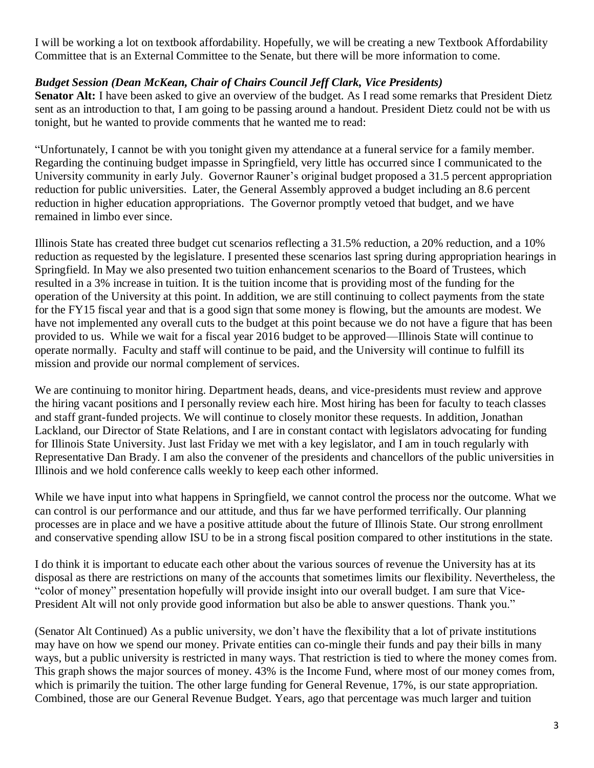I will be working a lot on textbook affordability. Hopefully, we will be creating a new Textbook Affordability Committee that is an External Committee to the Senate, but there will be more information to come.

#### *Budget Session (Dean McKean, Chair of Chairs Council Jeff Clark, Vice Presidents)*

Senator Alt: I have been asked to give an overview of the budget. As I read some remarks that President Dietz sent as an introduction to that, I am going to be passing around a handout. President Dietz could not be with us tonight, but he wanted to provide comments that he wanted me to read:

"Unfortunately, I cannot be with you tonight given my attendance at a funeral service for a family member. Regarding the continuing budget impasse in Springfield, very little has occurred since I communicated to the University community in early July. Governor Rauner's original budget proposed a 31.5 percent appropriation reduction for public universities. Later, the General Assembly approved a budget including an 8.6 percent reduction in higher education appropriations. The Governor promptly vetoed that budget, and we have remained in limbo ever since.

Illinois State has created three budget cut scenarios reflecting a 31.5% reduction, a 20% reduction, and a 10% reduction as requested by the legislature. I presented these scenarios last spring during appropriation hearings in Springfield. In May we also presented two tuition enhancement scenarios to the Board of Trustees, which resulted in a 3% increase in tuition. It is the tuition income that is providing most of the funding for the operation of the University at this point. In addition, we are still continuing to collect payments from the state for the FY15 fiscal year and that is a good sign that some money is flowing, but the amounts are modest. We have not implemented any overall cuts to the budget at this point because we do not have a figure that has been provided to us. While we wait for a fiscal year 2016 budget to be approved—Illinois State will continue to operate normally. Faculty and staff will continue to be paid, and the University will continue to fulfill its mission and provide our normal complement of services.

We are continuing to monitor hiring. Department heads, deans, and vice-presidents must review and approve the hiring vacant positions and I personally review each hire. Most hiring has been for faculty to teach classes and staff grant-funded projects. We will continue to closely monitor these requests. In addition, Jonathan Lackland, our Director of State Relations, and I are in constant contact with legislators advocating for funding for Illinois State University. Just last Friday we met with a key legislator, and I am in touch regularly with Representative Dan Brady. I am also the convener of the presidents and chancellors of the public universities in Illinois and we hold conference calls weekly to keep each other informed.

While we have input into what happens in Springfield, we cannot control the process nor the outcome. What we can control is our performance and our attitude, and thus far we have performed terrifically. Our planning processes are in place and we have a positive attitude about the future of Illinois State. Our strong enrollment and conservative spending allow ISU to be in a strong fiscal position compared to other institutions in the state.

I do think it is important to educate each other about the various sources of revenue the University has at its disposal as there are restrictions on many of the accounts that sometimes limits our flexibility. Nevertheless, the "color of money" presentation hopefully will provide insight into our overall budget. I am sure that Vice-President Alt will not only provide good information but also be able to answer questions. Thank you."

(Senator Alt Continued) As a public university, we don't have the flexibility that a lot of private institutions may have on how we spend our money. Private entities can co-mingle their funds and pay their bills in many ways, but a public university is restricted in many ways. That restriction is tied to where the money comes from. This graph shows the major sources of money. 43% is the Income Fund, where most of our money comes from, which is primarily the tuition. The other large funding for General Revenue, 17%, is our state appropriation. Combined, those are our General Revenue Budget. Years, ago that percentage was much larger and tuition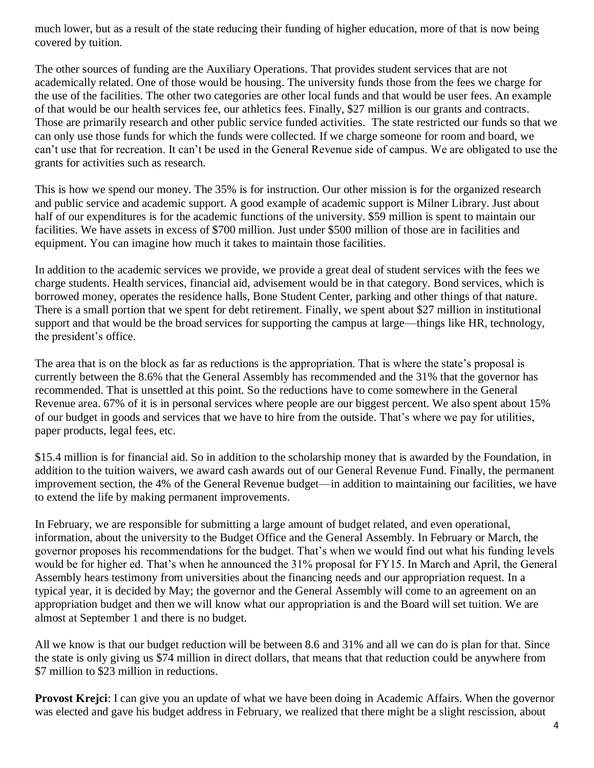much lower, but as a result of the state reducing their funding of higher education, more of that is now being covered by tuition.

The other sources of funding are the Auxiliary Operations. That provides student services that are not academically related. One of those would be housing. The university funds those from the fees we charge for the use of the facilities. The other two categories are other local funds and that would be user fees. An example of that would be our health services fee, our athletics fees. Finally, \$27 million is our grants and contracts. Those are primarily research and other public service funded activities. The state restricted our funds so that we can only use those funds for which the funds were collected. If we charge someone for room and board, we can't use that for recreation. It can't be used in the General Revenue side of campus. We are obligated to use the grants for activities such as research.

This is how we spend our money. The 35% is for instruction. Our other mission is for the organized research and public service and academic support. A good example of academic support is Milner Library. Just about half of our expenditures is for the academic functions of the university. \$59 million is spent to maintain our facilities. We have assets in excess of \$700 million. Just under \$500 million of those are in facilities and equipment. You can imagine how much it takes to maintain those facilities.

In addition to the academic services we provide, we provide a great deal of student services with the fees we charge students. Health services, financial aid, advisement would be in that category. Bond services, which is borrowed money, operates the residence halls, Bone Student Center, parking and other things of that nature. There is a small portion that we spent for debt retirement. Finally, we spent about \$27 million in institutional support and that would be the broad services for supporting the campus at large—things like HR, technology, the president's office.

The area that is on the block as far as reductions is the appropriation. That is where the state's proposal is currently between the 8.6% that the General Assembly has recommended and the 31% that the governor has recommended. That is unsettled at this point. So the reductions have to come somewhere in the General Revenue area. 67% of it is in personal services where people are our biggest percent. We also spent about 15% of our budget in goods and services that we have to hire from the outside. That's where we pay for utilities, paper products, legal fees, etc.

\$15.4 million is for financial aid. So in addition to the scholarship money that is awarded by the Foundation, in addition to the tuition waivers, we award cash awards out of our General Revenue Fund. Finally, the permanent improvement section, the 4% of the General Revenue budget—in addition to maintaining our facilities, we have to extend the life by making permanent improvements.

In February, we are responsible for submitting a large amount of budget related, and even operational, information, about the university to the Budget Office and the General Assembly. In February or March, the governor proposes his recommendations for the budget. That's when we would find out what his funding levels would be for higher ed. That's when he announced the 31% proposal for FY15. In March and April, the General Assembly hears testimony from universities about the financing needs and our appropriation request. In a typical year, it is decided by May; the governor and the General Assembly will come to an agreement on an appropriation budget and then we will know what our appropriation is and the Board will set tuition. We are almost at September 1 and there is no budget.

All we know is that our budget reduction will be between 8.6 and 31% and all we can do is plan for that. Since the state is only giving us \$74 million in direct dollars, that means that that reduction could be anywhere from \$7 million to \$23 million in reductions.

**Provost Krejci**: I can give you an update of what we have been doing in Academic Affairs. When the governor was elected and gave his budget address in February, we realized that there might be a slight rescission, about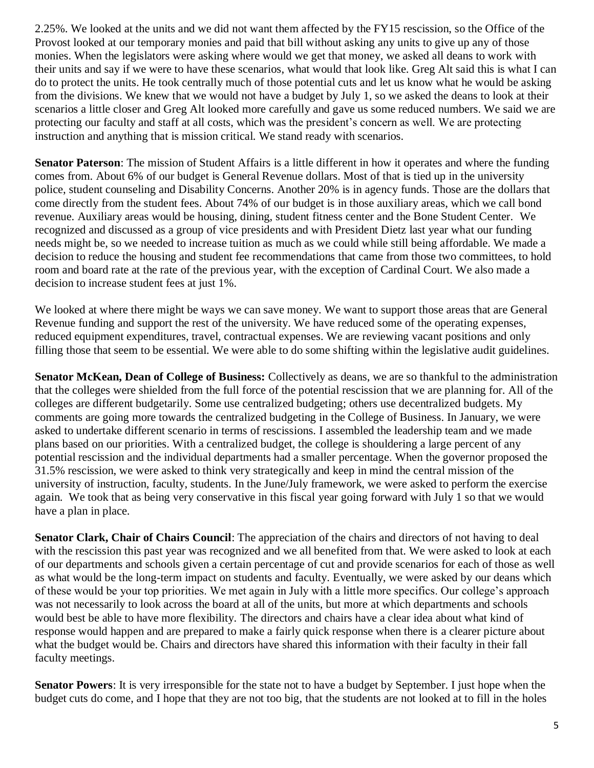2.25%. We looked at the units and we did not want them affected by the FY15 rescission, so the Office of the Provost looked at our temporary monies and paid that bill without asking any units to give up any of those monies. When the legislators were asking where would we get that money, we asked all deans to work with their units and say if we were to have these scenarios, what would that look like. Greg Alt said this is what I can do to protect the units. He took centrally much of those potential cuts and let us know what he would be asking from the divisions. We knew that we would not have a budget by July 1, so we asked the deans to look at their scenarios a little closer and Greg Alt looked more carefully and gave us some reduced numbers. We said we are protecting our faculty and staff at all costs, which was the president's concern as well. We are protecting instruction and anything that is mission critical. We stand ready with scenarios.

**Senator Paterson**: The mission of Student Affairs is a little different in how it operates and where the funding comes from. About 6% of our budget is General Revenue dollars. Most of that is tied up in the university police, student counseling and Disability Concerns. Another 20% is in agency funds. Those are the dollars that come directly from the student fees. About 74% of our budget is in those auxiliary areas, which we call bond revenue. Auxiliary areas would be housing, dining, student fitness center and the Bone Student Center. We recognized and discussed as a group of vice presidents and with President Dietz last year what our funding needs might be, so we needed to increase tuition as much as we could while still being affordable. We made a decision to reduce the housing and student fee recommendations that came from those two committees, to hold room and board rate at the rate of the previous year, with the exception of Cardinal Court. We also made a decision to increase student fees at just 1%.

We looked at where there might be ways we can save money. We want to support those areas that are General Revenue funding and support the rest of the university. We have reduced some of the operating expenses, reduced equipment expenditures, travel, contractual expenses. We are reviewing vacant positions and only filling those that seem to be essential. We were able to do some shifting within the legislative audit guidelines.

**Senator McKean, Dean of College of Business:** Collectively as deans, we are so thankful to the administration that the colleges were shielded from the full force of the potential rescission that we are planning for. All of the colleges are different budgetarily. Some use centralized budgeting; others use decentralized budgets. My comments are going more towards the centralized budgeting in the College of Business. In January, we were asked to undertake different scenario in terms of rescissions. I assembled the leadership team and we made plans based on our priorities. With a centralized budget, the college is shouldering a large percent of any potential rescission and the individual departments had a smaller percentage. When the governor proposed the 31.5% rescission, we were asked to think very strategically and keep in mind the central mission of the university of instruction, faculty, students. In the June/July framework, we were asked to perform the exercise again. We took that as being very conservative in this fiscal year going forward with July 1 so that we would have a plan in place.

**Senator Clark, Chair of Chairs Council**: The appreciation of the chairs and directors of not having to deal with the rescission this past year was recognized and we all benefited from that. We were asked to look at each of our departments and schools given a certain percentage of cut and provide scenarios for each of those as well as what would be the long-term impact on students and faculty. Eventually, we were asked by our deans which of these would be your top priorities. We met again in July with a little more specifics. Our college's approach was not necessarily to look across the board at all of the units, but more at which departments and schools would best be able to have more flexibility. The directors and chairs have a clear idea about what kind of response would happen and are prepared to make a fairly quick response when there is a clearer picture about what the budget would be. Chairs and directors have shared this information with their faculty in their fall faculty meetings.

**Senator Powers**: It is very irresponsible for the state not to have a budget by September. I just hope when the budget cuts do come, and I hope that they are not too big, that the students are not looked at to fill in the holes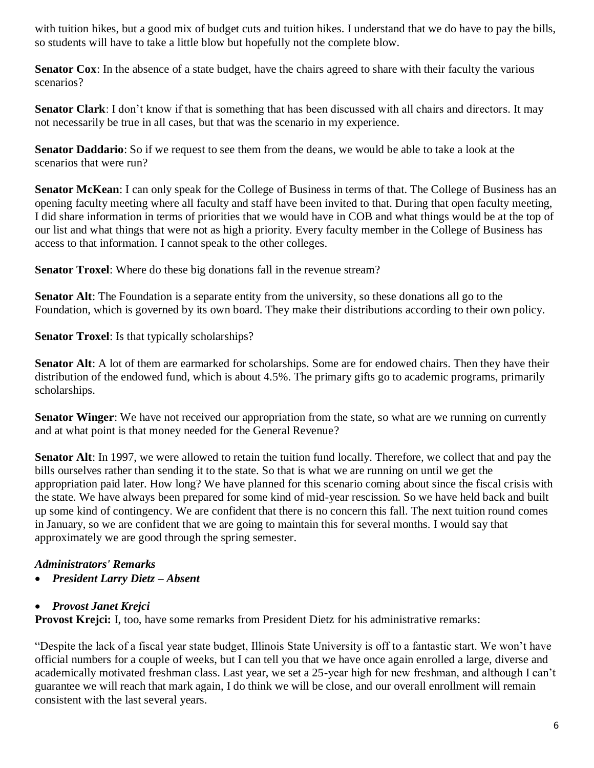with tuition hikes, but a good mix of budget cuts and tuition hikes. I understand that we do have to pay the bills, so students will have to take a little blow but hopefully not the complete blow.

**Senator Cox**: In the absence of a state budget, have the chairs agreed to share with their faculty the various scenarios?

**Senator Clark**: I don't know if that is something that has been discussed with all chairs and directors. It may not necessarily be true in all cases, but that was the scenario in my experience.

**Senator Daddario**: So if we request to see them from the deans, we would be able to take a look at the scenarios that were run?

**Senator McKean**: I can only speak for the College of Business in terms of that. The College of Business has an opening faculty meeting where all faculty and staff have been invited to that. During that open faculty meeting, I did share information in terms of priorities that we would have in COB and what things would be at the top of our list and what things that were not as high a priority. Every faculty member in the College of Business has access to that information. I cannot speak to the other colleges.

**Senator Troxel**: Where do these big donations fall in the revenue stream?

**Senator Alt**: The Foundation is a separate entity from the university, so these donations all go to the Foundation, which is governed by its own board. They make their distributions according to their own policy.

**Senator Troxel**: Is that typically scholarships?

**Senator Alt**: A lot of them are earmarked for scholarships. Some are for endowed chairs. Then they have their distribution of the endowed fund, which is about 4.5%. The primary gifts go to academic programs, primarily scholarships.

**Senator Winger**: We have not received our appropriation from the state, so what are we running on currently and at what point is that money needed for the General Revenue?

**Senator Alt**: In 1997, we were allowed to retain the tuition fund locally. Therefore, we collect that and pay the bills ourselves rather than sending it to the state. So that is what we are running on until we get the appropriation paid later. How long? We have planned for this scenario coming about since the fiscal crisis with the state. We have always been prepared for some kind of mid-year rescission. So we have held back and built up some kind of contingency. We are confident that there is no concern this fall. The next tuition round comes in January, so we are confident that we are going to maintain this for several months. I would say that approximately we are good through the spring semester.

### *Administrators' Remarks*

• *President Larry Dietz – Absent*

### • *Provost Janet Krejci*

**Provost Krejci:** I, too, have some remarks from President Dietz for his administrative remarks:

"Despite the lack of a fiscal year state budget, Illinois State University is off to a fantastic start. We won't have official numbers for a couple of weeks, but I can tell you that we have once again enrolled a large, diverse and academically motivated freshman class. Last year, we set a 25-year high for new freshman, and although I can't guarantee we will reach that mark again, I do think we will be close, and our overall enrollment will remain consistent with the last several years.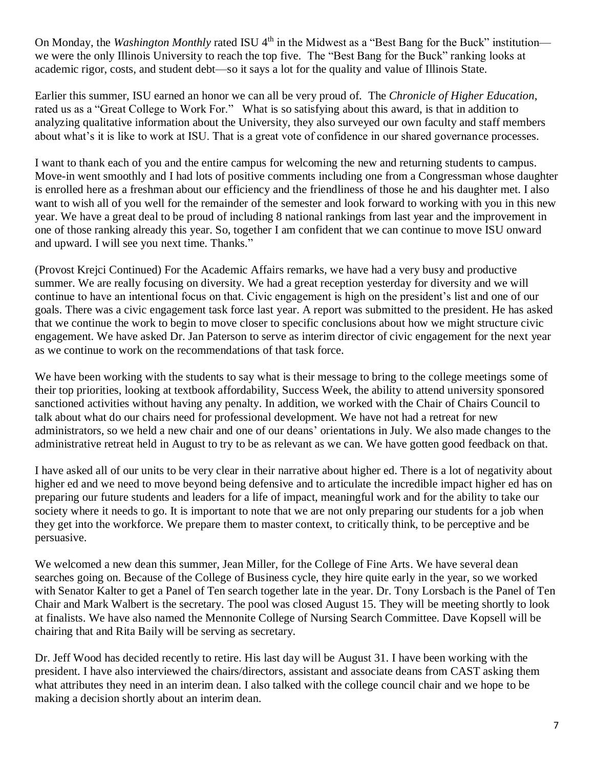On Monday, the *Washington Monthly* rated ISU 4<sup>th</sup> in the Midwest as a "Best Bang for the Buck" institution we were the only Illinois University to reach the top five. The "Best Bang for the Buck" ranking looks at academic rigor, costs, and student debt—so it says a lot for the quality and value of Illinois State.

Earlier this summer, ISU earned an honor we can all be very proud of. The *Chronicle of Higher Education*, rated us as a "Great College to Work For." What is so satisfying about this award, is that in addition to analyzing qualitative information about the University, they also surveyed our own faculty and staff members about what's it is like to work at ISU. That is a great vote of confidence in our shared governance processes.

I want to thank each of you and the entire campus for welcoming the new and returning students to campus. Move-in went smoothly and I had lots of positive comments including one from a Congressman whose daughter is enrolled here as a freshman about our efficiency and the friendliness of those he and his daughter met. I also want to wish all of you well for the remainder of the semester and look forward to working with you in this new year. We have a great deal to be proud of including 8 national rankings from last year and the improvement in one of those ranking already this year. So, together I am confident that we can continue to move ISU onward and upward. I will see you next time. Thanks."

(Provost Krejci Continued) For the Academic Affairs remarks, we have had a very busy and productive summer. We are really focusing on diversity. We had a great reception yesterday for diversity and we will continue to have an intentional focus on that. Civic engagement is high on the president's list and one of our goals. There was a civic engagement task force last year. A report was submitted to the president. He has asked that we continue the work to begin to move closer to specific conclusions about how we might structure civic engagement. We have asked Dr. Jan Paterson to serve as interim director of civic engagement for the next year as we continue to work on the recommendations of that task force.

We have been working with the students to say what is their message to bring to the college meetings some of their top priorities, looking at textbook affordability, Success Week, the ability to attend university sponsored sanctioned activities without having any penalty. In addition, we worked with the Chair of Chairs Council to talk about what do our chairs need for professional development. We have not had a retreat for new administrators, so we held a new chair and one of our deans' orientations in July. We also made changes to the administrative retreat held in August to try to be as relevant as we can. We have gotten good feedback on that.

I have asked all of our units to be very clear in their narrative about higher ed. There is a lot of negativity about higher ed and we need to move beyond being defensive and to articulate the incredible impact higher ed has on preparing our future students and leaders for a life of impact, meaningful work and for the ability to take our society where it needs to go. It is important to note that we are not only preparing our students for a job when they get into the workforce. We prepare them to master context, to critically think, to be perceptive and be persuasive.

We welcomed a new dean this summer, Jean Miller, for the College of Fine Arts. We have several dean searches going on. Because of the College of Business cycle, they hire quite early in the year, so we worked with Senator Kalter to get a Panel of Ten search together late in the year. Dr. Tony Lorsbach is the Panel of Ten Chair and Mark Walbert is the secretary. The pool was closed August 15. They will be meeting shortly to look at finalists. We have also named the Mennonite College of Nursing Search Committee. Dave Kopsell will be chairing that and Rita Baily will be serving as secretary.

Dr. Jeff Wood has decided recently to retire. His last day will be August 31. I have been working with the president. I have also interviewed the chairs/directors, assistant and associate deans from CAST asking them what attributes they need in an interim dean. I also talked with the college council chair and we hope to be making a decision shortly about an interim dean.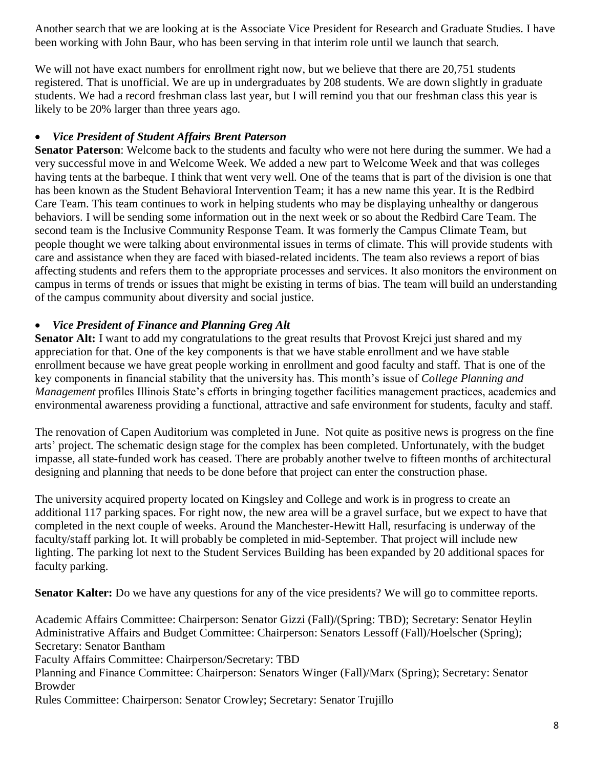Another search that we are looking at is the Associate Vice President for Research and Graduate Studies. I have been working with John Baur, who has been serving in that interim role until we launch that search.

We will not have exact numbers for enrollment right now, but we believe that there are 20,751 students registered. That is unofficial. We are up in undergraduates by 208 students. We are down slightly in graduate students. We had a record freshman class last year, but I will remind you that our freshman class this year is likely to be 20% larger than three years ago.

#### • *Vice President of Student Affairs Brent Paterson*

**Senator Paterson**: Welcome back to the students and faculty who were not here during the summer. We had a very successful move in and Welcome Week. We added a new part to Welcome Week and that was colleges having tents at the barbeque. I think that went very well. One of the teams that is part of the division is one that has been known as the Student Behavioral Intervention Team; it has a new name this year. It is the Redbird Care Team. This team continues to work in helping students who may be displaying unhealthy or dangerous behaviors. I will be sending some information out in the next week or so about the Redbird Care Team. The second team is the Inclusive Community Response Team. It was formerly the Campus Climate Team, but people thought we were talking about environmental issues in terms of climate. This will provide students with care and assistance when they are faced with biased-related incidents. The team also reviews a report of bias affecting students and refers them to the appropriate processes and services. It also monitors the environment on campus in terms of trends or issues that might be existing in terms of bias. The team will build an understanding of the campus community about diversity and social justice.

#### • *Vice President of Finance and Planning Greg Alt*

**Senator Alt:** I want to add my congratulations to the great results that Provost Krejci just shared and my appreciation for that. One of the key components is that we have stable enrollment and we have stable enrollment because we have great people working in enrollment and good faculty and staff. That is one of the key components in financial stability that the university has. This month's issue of *College Planning and Management* profiles Illinois State's efforts in bringing together facilities management practices, academics and environmental awareness providing a functional, attractive and safe environment for students, faculty and staff.

The renovation of Capen Auditorium was completed in June. Not quite as positive news is progress on the fine arts' project. The schematic design stage for the complex has been completed. Unfortunately, with the budget impasse, all state-funded work has ceased. There are probably another twelve to fifteen months of architectural designing and planning that needs to be done before that project can enter the construction phase.

The university acquired property located on Kingsley and College and work is in progress to create an additional 117 parking spaces. For right now, the new area will be a gravel surface, but we expect to have that completed in the next couple of weeks. Around the Manchester-Hewitt Hall, resurfacing is underway of the faculty/staff parking lot. It will probably be completed in mid-September. That project will include new lighting. The parking lot next to the Student Services Building has been expanded by 20 additional spaces for faculty parking.

**Senator Kalter:** Do we have any questions for any of the vice presidents? We will go to committee reports.

Academic Affairs Committee: Chairperson: Senator Gizzi (Fall)/(Spring: TBD); Secretary: Senator Heylin Administrative Affairs and Budget Committee: Chairperson: Senators Lessoff (Fall)/Hoelscher (Spring); Secretary: Senator Bantham Faculty Affairs Committee: Chairperson/Secretary: TBD Planning and Finance Committee: Chairperson: Senators Winger (Fall)/Marx (Spring); Secretary: Senator Browder Rules Committee: Chairperson: Senator Crowley; Secretary: Senator Trujillo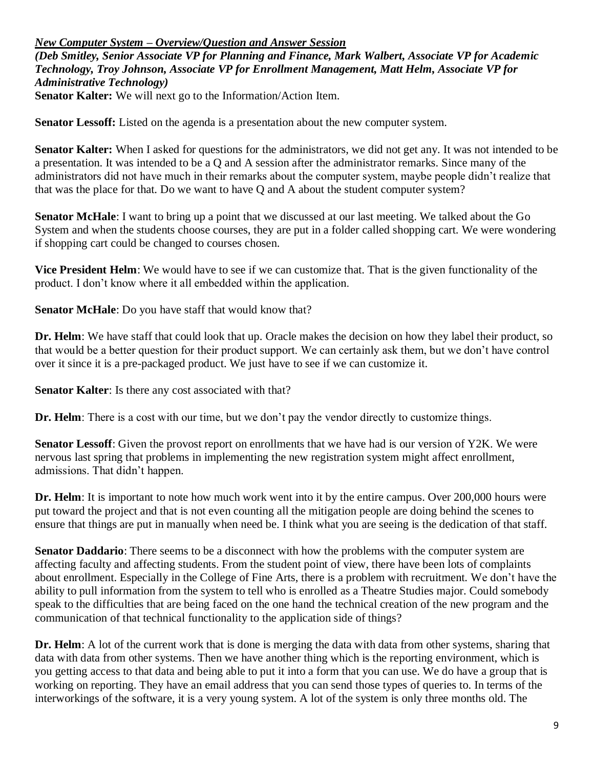#### *New Computer System – Overview/Question and Answer Session*

*(Deb Smitley, Senior Associate VP for Planning and Finance, Mark Walbert, Associate VP for Academic Technology, Troy Johnson, Associate VP for Enrollment Management, Matt Helm, Associate VP for Administrative Technology)*

**Senator Kalter:** We will next go to the Information/Action Item.

**Senator Lessoff:** Listed on the agenda is a presentation about the new computer system.

**Senator Kalter:** When I asked for questions for the administrators, we did not get any. It was not intended to be a presentation. It was intended to be a Q and A session after the administrator remarks. Since many of the administrators did not have much in their remarks about the computer system, maybe people didn't realize that that was the place for that. Do we want to have Q and A about the student computer system?

**Senator McHale**: I want to bring up a point that we discussed at our last meeting. We talked about the Go System and when the students choose courses, they are put in a folder called shopping cart. We were wondering if shopping cart could be changed to courses chosen.

**Vice President Helm**: We would have to see if we can customize that. That is the given functionality of the product. I don't know where it all embedded within the application.

**Senator McHale**: Do you have staff that would know that?

**Dr. Helm**: We have staff that could look that up. Oracle makes the decision on how they label their product, so that would be a better question for their product support. We can certainly ask them, but we don't have control over it since it is a pre-packaged product. We just have to see if we can customize it.

**Senator Kalter**: Is there any cost associated with that?

**Dr. Helm**: There is a cost with our time, but we don't pay the vendor directly to customize things.

**Senator Lessoff**: Given the provost report on enrollments that we have had is our version of Y2K. We were nervous last spring that problems in implementing the new registration system might affect enrollment, admissions. That didn't happen.

**Dr. Helm**: It is important to note how much work went into it by the entire campus. Over 200,000 hours were put toward the project and that is not even counting all the mitigation people are doing behind the scenes to ensure that things are put in manually when need be. I think what you are seeing is the dedication of that staff.

**Senator Daddario**: There seems to be a disconnect with how the problems with the computer system are affecting faculty and affecting students. From the student point of view, there have been lots of complaints about enrollment. Especially in the College of Fine Arts, there is a problem with recruitment. We don't have the ability to pull information from the system to tell who is enrolled as a Theatre Studies major. Could somebody speak to the difficulties that are being faced on the one hand the technical creation of the new program and the communication of that technical functionality to the application side of things?

**Dr. Helm**: A lot of the current work that is done is merging the data with data from other systems, sharing that data with data from other systems. Then we have another thing which is the reporting environment, which is you getting access to that data and being able to put it into a form that you can use. We do have a group that is working on reporting. They have an email address that you can send those types of queries to. In terms of the interworkings of the software, it is a very young system. A lot of the system is only three months old. The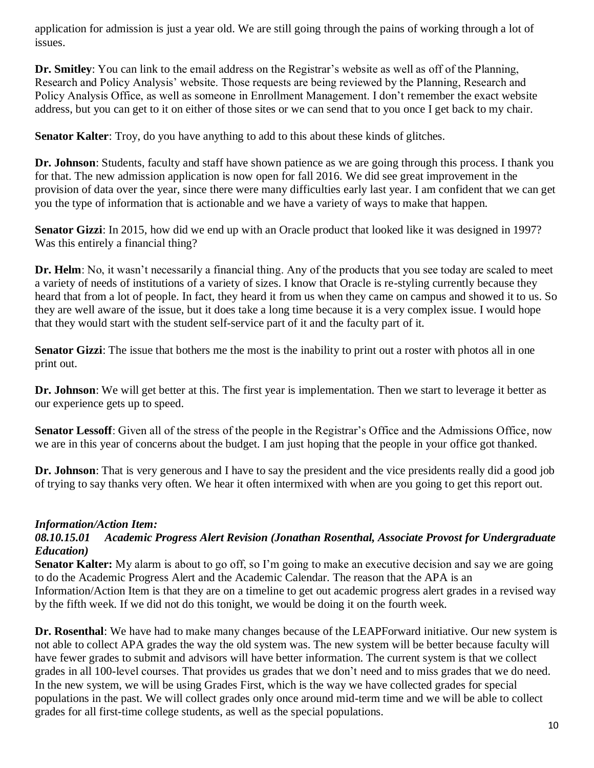application for admission is just a year old. We are still going through the pains of working through a lot of issues.

**Dr. Smitley**: You can link to the email address on the Registrar's website as well as off of the Planning, Research and Policy Analysis' website. Those requests are being reviewed by the Planning, Research and Policy Analysis Office, as well as someone in Enrollment Management. I don't remember the exact website address, but you can get to it on either of those sites or we can send that to you once I get back to my chair.

**Senator Kalter**: Troy, do you have anything to add to this about these kinds of glitches.

**Dr. Johnson**: Students, faculty and staff have shown patience as we are going through this process. I thank you for that. The new admission application is now open for fall 2016. We did see great improvement in the provision of data over the year, since there were many difficulties early last year. I am confident that we can get you the type of information that is actionable and we have a variety of ways to make that happen.

**Senator Gizzi**: In 2015, how did we end up with an Oracle product that looked like it was designed in 1997? Was this entirely a financial thing?

**Dr. Helm**: No, it wasn't necessarily a financial thing. Any of the products that you see today are scaled to meet a variety of needs of institutions of a variety of sizes. I know that Oracle is re-styling currently because they heard that from a lot of people. In fact, they heard it from us when they came on campus and showed it to us. So they are well aware of the issue, but it does take a long time because it is a very complex issue. I would hope that they would start with the student self-service part of it and the faculty part of it.

**Senator Gizzi**: The issue that bothers me the most is the inability to print out a roster with photos all in one print out.

**Dr. Johnson**: We will get better at this. The first year is implementation. Then we start to leverage it better as our experience gets up to speed.

**Senator Lessoff**: Given all of the stress of the people in the Registrar's Office and the Admissions Office, now we are in this year of concerns about the budget. I am just hoping that the people in your office got thanked.

**Dr. Johnson**: That is very generous and I have to say the president and the vice presidents really did a good job of trying to say thanks very often. We hear it often intermixed with when are you going to get this report out.

### *Information/Action Item:*

#### *08.10.15.01 Academic Progress Alert Revision (Jonathan Rosenthal, Associate Provost for Undergraduate Education)*

**Senator Kalter:** My alarm is about to go off, so I'm going to make an executive decision and say we are going to do the Academic Progress Alert and the Academic Calendar. The reason that the APA is an Information/Action Item is that they are on a timeline to get out academic progress alert grades in a revised way by the fifth week. If we did not do this tonight, we would be doing it on the fourth week.

**Dr. Rosenthal**: We have had to make many changes because of the LEAPForward initiative. Our new system is not able to collect APA grades the way the old system was. The new system will be better because faculty will have fewer grades to submit and advisors will have better information. The current system is that we collect grades in all 100-level courses. That provides us grades that we don't need and to miss grades that we do need. In the new system, we will be using Grades First, which is the way we have collected grades for special populations in the past. We will collect grades only once around mid-term time and we will be able to collect grades for all first-time college students, as well as the special populations.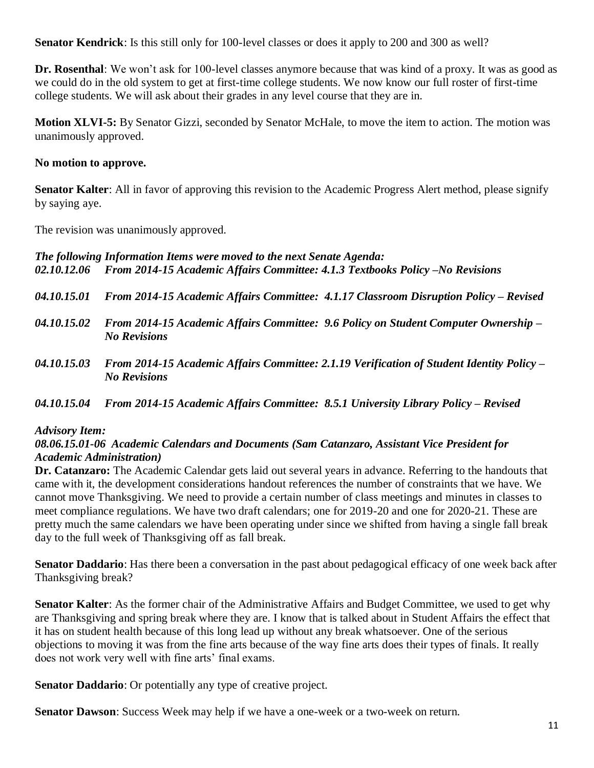**Senator Kendrick**: Is this still only for 100-level classes or does it apply to 200 and 300 as well?

**Dr. Rosenthal**: We won't ask for 100-level classes anymore because that was kind of a proxy. It was as good as we could do in the old system to get at first-time college students. We now know our full roster of first-time college students. We will ask about their grades in any level course that they are in.

**Motion XLVI-5:** By Senator Gizzi, seconded by Senator McHale, to move the item to action. The motion was unanimously approved.

#### **No motion to approve.**

**Senator Kalter**: All in favor of approving this revision to the Academic Progress Alert method, please signify by saying aye.

The revision was unanimously approved.

*The following Information Items were moved to the next Senate Agenda: 02.10.12.06 From 2014-15 Academic Affairs Committee: 4.1.3 Textbooks Policy –No Revisions*

- *04.10.15.01 From 2014-15 Academic Affairs Committee: 4.1.17 Classroom Disruption Policy – Revised*
- *04.10.15.02 From 2014-15 Academic Affairs Committee: 9.6 Policy on Student Computer Ownership – No Revisions*
- *04.10.15.03 From 2014-15 Academic Affairs Committee: 2.1.19 Verification of Student Identity Policy – No Revisions*

#### *04.10.15.04 From 2014-15 Academic Affairs Committee: 8.5.1 University Library Policy – Revised*

#### *Advisory Item:*

#### *08.06.15.01-06 Academic Calendars and Documents (Sam Catanzaro, Assistant Vice President for Academic Administration)*

**Dr. Catanzaro:** The Academic Calendar gets laid out several years in advance. Referring to the handouts that came with it, the development considerations handout references the number of constraints that we have. We cannot move Thanksgiving. We need to provide a certain number of class meetings and minutes in classes to meet compliance regulations. We have two draft calendars; one for 2019-20 and one for 2020-21. These are pretty much the same calendars we have been operating under since we shifted from having a single fall break day to the full week of Thanksgiving off as fall break.

**Senator Daddario**: Has there been a conversation in the past about pedagogical efficacy of one week back after Thanksgiving break?

**Senator Kalter**: As the former chair of the Administrative Affairs and Budget Committee, we used to get why are Thanksgiving and spring break where they are. I know that is talked about in Student Affairs the effect that it has on student health because of this long lead up without any break whatsoever. One of the serious objections to moving it was from the fine arts because of the way fine arts does their types of finals. It really does not work very well with fine arts' final exams.

**Senator Daddario**: Or potentially any type of creative project.

**Senator Dawson**: Success Week may help if we have a one-week or a two-week on return.